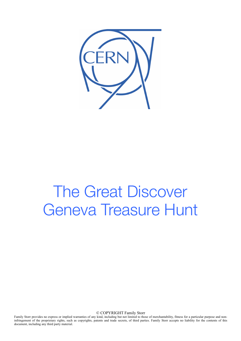

# The Great Discover Geneva Treasure Hunt

© COPYRIGHT Family Storr

Family Storr provides no express or implied warranties of any kind, including but not limited to those of merchantability, fitness for a particular purpose and noninfringement of the proprietary rights, such as copyrights, patents and trade secrets, of third parties. Family Storr accepts no liability for the contents of this document, including any third party material.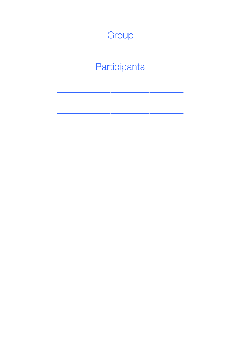## Group

## Participants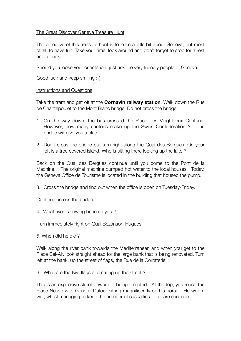#### The Great Discover Geneva Treasure Hunt

The objective of this treasure hunt is to learn a little bit about Geneva, but most of all, to have fun! Take your time, look around and don't forget to stop for a rest and a drink.

Should you loose your orientation, just ask the very friendly people of Geneva.

Good luck and keep smiling :-)

#### Instructions and Questions

Take the tram and get off at the **Cornavin railway station**. Walk down the Rue de Chantepoulet to the Mont Blanc bridge. Do not cross the bridge.

- 1. On the way down, the bus crossed the Place des Vingt-Deux Cantons. However, how many cantons make up the Swiss Confederation ? The bridge will give you a clue.
- 2. Don't cross the bridge but turn right along the Quai des Bergues. On your left is a tree covered island. Who is sitting there looking up the lake ?

Back on the Quai des Bergues continue until you come to the Pont de la Machine. The original machine pumped hot water to the local houses. Today, the Geneva Office de Tourisme is located in the building that housed the pump.

3. Cross the bridge and find out when the office is open on Tuesday-Friday.

Continue across the bridge.

4. What river is flowing beneath you ?

Turn immediately right on Quai Bezanson-Hugues.

5. When did he die ?

Walk along the river bank towards the Mediterranean and when you get to the Place Bel-Air, look straight ahead for the large bank that is being renovated. Turn left at the bank, up the street of flags, the Rue de la Corraterie.

6. What are the two flags alternating up the street ?

This is an expensive street beware of being tempted. At the top, you reach the Place Neuve with General Dufour sitting magnificently on his horse. He won a war, whilst managing to keep the number of casualties to a bare minimum.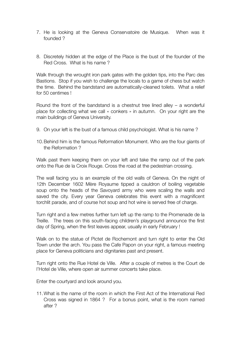- 7. He is looking at the Geneva Conservatoire de Musique. When was it founded ?
- 8. Discretely hidden at the edge of the Place is the bust of the founder of the Red Cross. What is his name ?

Walk through the wrought iron park gates with the golden tips, into the Parc des Bastions. Stop if you wish to challenge the locals to a game of chess but watch the time. Behind the bandstand are automatically-cleaned toilets. What a relief for 50 centimes !

Round the front of the bandstand is a chestnut tree lined alley  $-$  a wonderful place for collecting what we call « conkers » in autumn. On your right are the main buildings of Geneva University.

- 9. On your left is the bust of a famous child psychologist. What is his name ?
- 10.Behind him is the famous Reformation Monument. Who are the four giants of the Reformation ?

Walk past them keeping them on your left and take the ramp out of the park onto the Rue de la Croix Rouge. Cross the road at the pedestrian crossing.

The wall facing you is an example of the old walls of Geneva. On the night of 12th December 1602 Mère Royaume tipped a cauldron of boiling vegetable soup onto the heads of the Savoyard army who were scaling the walls and saved the city. Every year Geneva celebrates this event with a magnificent torchlit parade, and of course hot soup and hot wine is served free of charge.

Turn right and a few metres further turn left up the ramp to the Promenade de la Treille. The trees on this south-facing children's playground announce the first day of Spring, when the first leaves appear, usually in early February !

Walk on to the statue of Pictet de Rochemont and turn right to enter the Old Town under the arch. You pass the Cafe Papon on your right, a famous meeting place for Geneva politicians and dignitaries past and present.

Turn right onto the Rue Hotel de Ville. After a couple of metres is the Court de l'Hotel de Ville, where open air summer concerts take place.

Enter the courtyard and look around you.

11.What is the name of the room in which the First Act of the International Red Cross was signed in 1864 ? For a bonus point, what is the room named after ?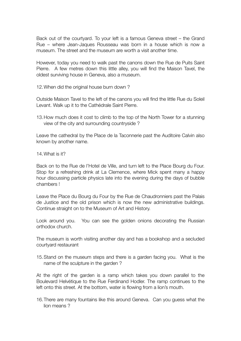Back out of the courtyard. To your left is a famous Geneva street – the Grand Rue – where Jean-Jaques Rousseau was born in a house which is now a museum. The street and the museum are worth a visit another time.

However, today you need to walk past the canons down the Rue de Puits Saint Pierre. A few metres down this little alley, you will find the Maison Tavel, the oldest surviving house in Geneva, also a museum.

12.When did the original house burn down ?

Outside Maison Tavel to the left of the canons you will find the little Rue du Soleil Levant. Walk up it to the Cathédrale Saint Pierre.

13.How much does it cost to climb to the top of the North Tower for a stunning view of the city and surrounding countryside ?

Leave the cathedral by the Place de la Taconnerie past the Auditoire Calvin also known by another name.

14.What is it?

Back on to the Rue de l'Hotel de Ville, and turn left to the Place Bourg du Four. Stop for a refreshing drink at La Clemence, where Mick spent many a happy hour discussing particle physics late into the evening during the days of bubble chambers !

Leave the Place du Bourg du Four by the Rue de Chaudronniers past the Palais de Justice and the old prison which is now the new administrative buildings. Continue straight on to the Museum of Art and History.

Look around you. You can see the golden onions decorating the Russian orthodox church.

The museum is worth visiting another day and has a bookshop and a secluded courtyard restaurant

15.Stand on the museum steps and there is a garden facing you. What is the name of the sculpture in the garden ?

At the right of the garden is a ramp which takes you down parallel to the Boulevard Helvétique to the Rue Ferdinand Hodler. The ramp continues to the left onto this street. At the bottom, water is flowing from a lion's mouth.

16.There are many fountains like this around Geneva. Can you guess what the lion means ?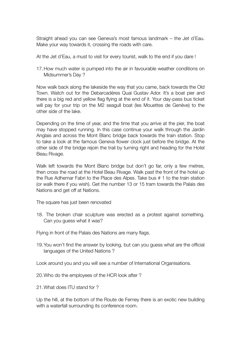Straight ahead you can see Geneva's most famous landmark – the Jet d'Eau. Make your way towards it, crossing the roads with care.

At the Jet d'Eau, a must to visit for every tourist, walk to the end if you dare !

17.How much water is pumped into the air in favourable weather conditions on Midsummer's Day ?

Now walk back along the lakeside the way that you came, back towards the Old Town. Watch out for the Debarcadères Quai Gustav Ador. It's a boat pier and there is a big red and yellow flag flying at the end of it. Your day-pass bus ticket will pay for your trip on the M2 seagull boat (les Mouettes de Genève) to the other side of the lake.

Depending on the time of year, and the time that you arrive at the pier, the boat may have stopped running. In this case continue your walk through the Jardin Anglais and across the Mont Blanc bridge back towards the train station. Stop to take a look at the famous Geneva flower clock just before the bridge. At the other side of the bridge rejoin the trail by turning right and heading for the Hotel Beau Rivage.

Walk left towards the Mont Blanc bridge but don't go far, only a few metres, then cross the road at the Hotel Beau Rivage. Walk past the front of the hotel up the Rue Adhemar Fabri to the Place des Alpes. Take bus # 1 to the train station (or walk there if you wish). Get the number 13 or 15 tram towards the Palais des Nations and get off at Nations.

The square has just been renovated

18. The broken chair sculpture was erected as a protest against something. Can you guess what it was?

Flying in front of the Palais des Nations are many flags.

19.You won't find the answer by looking, but can you guess what are the official languages of the United Nations ?

Look around you and you will see a number of International Organisations.

20.Who do the employees of the HCR look after ?

21.What does ITU stand for ?

Up the hill, at the bottom of the Route de Ferney there is an exotic new building with a waterfall surrounding its conference room.